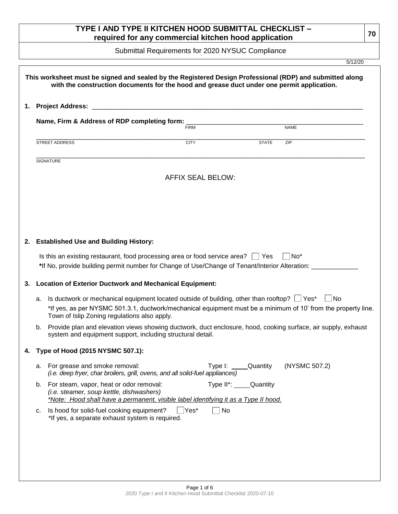# **TYPE I AND TYPE II KITCHEN HOOD SUBMITTAL CHECKLIST – required for any commercial kitchen hood application <sup>70</sup>**

Submittal Requirements for 2020 NYSUC Compliance

5/12/20

|    | Name, Firm & Address of RDP completing form:                                                                                                                                                 | <b>FIRM</b>                                                                                                   |                  | <b>NAME</b>     |
|----|----------------------------------------------------------------------------------------------------------------------------------------------------------------------------------------------|---------------------------------------------------------------------------------------------------------------|------------------|-----------------|
|    |                                                                                                                                                                                              |                                                                                                               |                  |                 |
|    | <b>STREET ADDRESS</b>                                                                                                                                                                        | <b>CITY</b>                                                                                                   | <b>STATE</b>     | ZIP             |
|    | <b>SIGNATURE</b>                                                                                                                                                                             |                                                                                                               |                  |                 |
|    |                                                                                                                                                                                              | <b>AFFIX SEAL BELOW:</b>                                                                                      |                  |                 |
|    |                                                                                                                                                                                              |                                                                                                               |                  |                 |
|    |                                                                                                                                                                                              |                                                                                                               |                  |                 |
|    | 2. Established Use and Building History:                                                                                                                                                     |                                                                                                               |                  |                 |
|    | Is this an existing restaurant, food processing area or food service area?   Yes<br>*If No, provide building permit number for Change of Use/Change of Tenant/Interior Alteration: _________ |                                                                                                               |                  | No <sup>*</sup> |
| 3. | <b>Location of Exterior Ductwork and Mechanical Equipment:</b>                                                                                                                               |                                                                                                               |                  |                 |
| а. | Is ductwork or mechanical equipment located outside of building, other than rooftop? $\Box$ Yes*                                                                                             |                                                                                                               |                  | ∣ No            |
|    | Town of Islip Zoning regulations also apply.                                                                                                                                                 | *If yes, as per NYSMC 501.3.1, ductwork/mechanical equipment must be a minimum of 10' from the property line. |                  |                 |
| b. | Provide plan and elevation views showing ductwork, duct enclosure, hood, cooking surface, air supply, exhaust<br>system and equipment support, including structural detail.                  |                                                                                                               |                  |                 |
|    | 4. Type of Hood (2015 NYSMC 507.1):                                                                                                                                                          |                                                                                                               |                  |                 |
| а. | For grease and smoke removal:                                                                                                                                                                | (i.e. deep fryer, char broilers, grill, ovens, and all solid-fuel appliances)                                 | Type I: Quantity | (NYSMC 507.2)   |
| b. | For steam, vapor, heat or odor removal:<br>(i.e. steamer, soup kettle, dishwashers)                                                                                                          | Type II*:<br>*Note: Hood shall have a permanent, visible label identifying it as a Type II hood.              | Quantity         |                 |
|    | Is hood for solid-fuel cooking equipment?<br>c.                                                                                                                                              | Yes*<br>No<br>*If yes, a separate exhaust system is required.                                                 |                  |                 |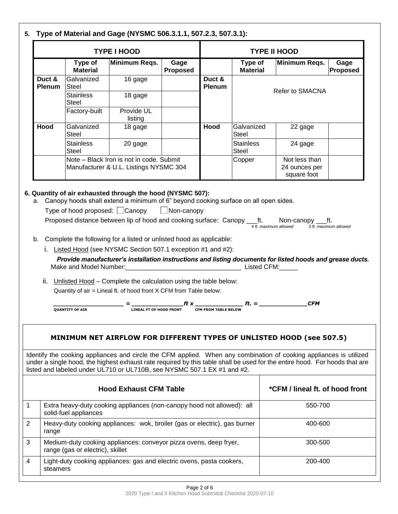|                                                                               |                                  | <b>TYPE I HOOD</b>                                                                                                                                                   |                                             | <b>TYPE II HOOD</b>         |                                                       |                                                                                                                                                                                                                                                  |  |
|-------------------------------------------------------------------------------|----------------------------------|----------------------------------------------------------------------------------------------------------------------------------------------------------------------|---------------------------------------------|-----------------------------|-------------------------------------------------------|--------------------------------------------------------------------------------------------------------------------------------------------------------------------------------------------------------------------------------------------------|--|
| <b>Minimum Reqs.</b><br>Type of<br>Gage<br><b>Material</b><br><b>Proposed</b> |                                  |                                                                                                                                                                      | Minimum Reqs.<br>Type of<br><b>Material</b> |                             |                                                       | Gage<br><b>Proposed</b>                                                                                                                                                                                                                          |  |
| Duct &<br><b>Plenum</b>                                                       | Galvanized<br>Steel              | 16 gage                                                                                                                                                              |                                             | Duct &<br><b>Plenum</b>     |                                                       |                                                                                                                                                                                                                                                  |  |
|                                                                               | <b>Stainless</b><br>Steel        | 18 gage                                                                                                                                                              |                                             |                             |                                                       | Refer to SMACNA                                                                                                                                                                                                                                  |  |
|                                                                               | Factory-built                    | Provide UL<br>listing                                                                                                                                                |                                             |                             |                                                       |                                                                                                                                                                                                                                                  |  |
| Hood                                                                          | Galvanized<br>Steel              | 18 gage                                                                                                                                                              |                                             | Hood                        | Galvanized<br><b>Steel</b>                            | 22 gage                                                                                                                                                                                                                                          |  |
|                                                                               | <b>Stainless</b><br><b>Steel</b> | 20 gage                                                                                                                                                              |                                             |                             | <b>Stainless</b><br><b>Steel</b>                      | 24 gage                                                                                                                                                                                                                                          |  |
|                                                                               |                                  | Note - Black Iron is not in code. Submit<br>Manufacturer & U.L. Listings NYSMC 304                                                                                   |                                             |                             | Copper                                                | Not less than<br>24 ounces per<br>square foot                                                                                                                                                                                                    |  |
|                                                                               | <b>QUANTITY OF AIR</b>           | ii. Unlisted Hood - Complete the calculation using the table below:<br>Quantity of air = Lineal ft. of hood front X CFM from Table below:<br>LINEAL FT OF HOOD FRONT |                                             | <b>CFM FROM TABLE BELOW</b> | $\boldsymbol{f}$ $\boldsymbol{t}$ . $=$ $\frac{1}{2}$ | <b>CFM</b>                                                                                                                                                                                                                                       |  |
|                                                                               |                                  |                                                                                                                                                                      |                                             |                             |                                                       | MINIMUM NET AIRFLOW FOR DIFFERENT TYPES OF UNLISTED HOOD (see 507.5)                                                                                                                                                                             |  |
|                                                                               |                                  | listed and labeled under UL710 or UL710B, see NYSMC 507.1 EX #1 and #2.                                                                                              |                                             |                             |                                                       | Identify the cooking appliances and circle the CFM applied. When any combination of cooking appliances is utilized<br>under a single hood, the highest exhaust rate required by this table shall be used for the entire hood. For hoods that are |  |
|                                                                               |                                  | <b>Hood Exhaust CFM Table</b>                                                                                                                                        |                                             |                             |                                                       | *CFM / lineal ft. of hood front                                                                                                                                                                                                                  |  |
|                                                                               | solid-fuel appliances            | Extra heavy-duty cooking appliances (non-canopy hood not allowed): all                                                                                               |                                             |                             |                                                       | 550-700                                                                                                                                                                                                                                          |  |
| range                                                                         |                                  | Heavy-duty cooking appliances: wok, broiler (gas or electric), gas burner                                                                                            |                                             |                             |                                                       | 400-600                                                                                                                                                                                                                                          |  |
| 3<br>Medium-duty cooking appliances: conveyor pizza ovens, deep fryer,        |                                  |                                                                                                                                                                      |                                             |                             |                                                       | 300-500                                                                                                                                                                                                                                          |  |
|                                                                               | range (gas or electric), skillet |                                                                                                                                                                      |                                             |                             |                                                       |                                                                                                                                                                                                                                                  |  |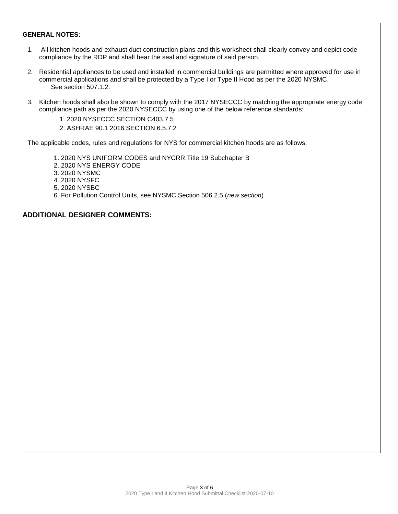#### **GENERAL NOTES:**

- 1. All kitchen hoods and exhaust duct construction plans and this worksheet shall clearly convey and depict code compliance by the RDP and shall bear the seal and signature of said person.
- 2. Residential appliances to be used and installed in commercial buildings are permitted where approved for use in commercial applications and shall be protected by a Type I or Type II Hood as per the 2020 NYSMC. See section 507.1.2.
- 3. Kitchen hoods shall also be shown to comply with the 2017 NYSECCC by matching the appropriate energy code compliance path as per the 2020 NYSECCC by using one of the below reference standards:
	- 1. 2020 NYSECCC SECTION C403.7.5
	- 2. ASHRAE 90.1 2016 SECTION 6.5.7.2

The applicable codes, rules and regulations for NYS for commercial kitchen hoods are as follows:

- 1. 2020 NYS UNIFORM CODES and NYCRR Title 19 Subchapter B
- 2. 2020 NYS ENERGY CODE
- 3. 2020 NYSMC
- 4. 2020 NYSFC
- 5. 2020 NYSBC
- 6. For Pollution Control Units, see NYSMC Section 506.2.5 (*new section*)

## **ADDITIONAL DESIGNER COMMENTS:**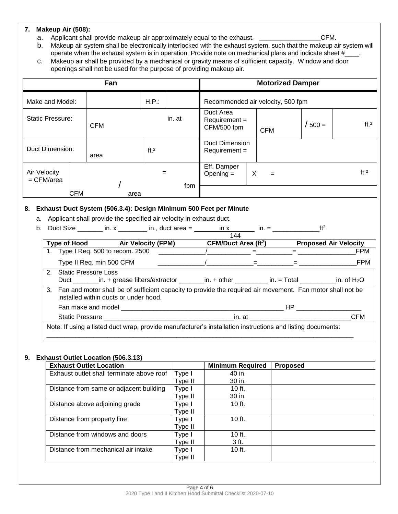## **7. Makeup Air (508):**

a. Applicant shall provide makeup air approximately equal to the exhaust. \_\_\_\_\_\_\_\_\_\_\_\_\_\_\_\_\_\_\_\_\_CFM.

- b. Makeup air system shall be electronically interlocked with the exhaust system, such that the makeup air system will operate when the exhaust system is in operation. Provide note on mechanical plans and indicate sheet #\_
- c. Makeup air shall be provided by a mechanical or gravity means of sufficient capacity. Window and door openings shall not be used for the purpose of providing makeup air.

| Fan                          |     |            |      |         |        |                                          | <b>Motorized Damper</b> |           |                 |
|------------------------------|-----|------------|------|---------|--------|------------------------------------------|-------------------------|-----------|-----------------|
| Make and Model:              |     |            |      | H.P.:   |        | Recommended air velocity, 500 fpm        |                         |           |                 |
| <b>Static Pressure:</b>      |     | <b>CFM</b> |      |         | in. at | Duct Area<br>$Required =$<br>CFM/500 fpm | <b>CFM</b>              | $'$ 500 = | ft <sub>2</sub> |
| <b>Duct Dimension:</b>       |     | area       |      | ft. $2$ |        | <b>Duct Dimension</b><br>Requirement =   |                         |           |                 |
| Air Velocity<br>$=$ CFM/area |     |            |      | $=$     |        | Eff. Damper<br>Opening $=$               | X<br>$=$                |           | ft <sub>2</sub> |
|                              | CFM |            | area |         | fpm    |                                          |                         |           |                 |

### **8. Exhaust Duct System (506.3.4): Design Minimum 500 Feet per Minute**

- a. Applicant shall provide the specified air velocity in exhaust duct.
- b. Duct Size \_\_\_\_\_\_\_ in. x \_\_\_\_\_\_\_\_ in., duct area = \_\_\_\_\_\_\_ in. x \_\_\_\_\_\_\_\_ in. = \_\_\_\_\_\_\_\_\_\_\_\_\_\_\_\_ft<sup>2</sup>

|                                   | Type of Hood Air Velocity (FPM)                                                                                                                        | <b>CFM/Duct Area (ft<sup>2</sup>)</b> |                                                                                                                                                                                                                                     | <b>Proposed Air Velocity</b> |
|-----------------------------------|--------------------------------------------------------------------------------------------------------------------------------------------------------|---------------------------------------|-------------------------------------------------------------------------------------------------------------------------------------------------------------------------------------------------------------------------------------|------------------------------|
| 1. Type I Req. 500 to recom. 2500 |                                                                                                                                                        | $\lambda$ and $\lambda$ =             | <b>Experience</b>                                                                                                                                                                                                                   | <b>FPM</b>                   |
| Type II Req. min 500 CFM          |                                                                                                                                                        | $\qquad \qquad =$ $\qquad \qquad =$   |                                                                                                                                                                                                                                     | FPM                          |
| 2. Static Pressure Loss           | Duct ________in. + grease filters/extractor ________in. + other __________ in. = Total ___________in. of H <sub>2</sub> O                              |                                       |                                                                                                                                                                                                                                     |                              |
|                                   | 3. Fan and motor shall be of sufficient capacity to provide the required air movement. Fan motor shall not be<br>installed within ducts or under hood. |                                       |                                                                                                                                                                                                                                     |                              |
|                                   | Fan make and model                                                                                                                                     |                                       | <b>HP</b> Providence and the second service of the series of the series of the series of the series of the series of the series of the series of the series of the series of the series of the series of the series of the series o |                              |
|                                   |                                                                                                                                                        |                                       |                                                                                                                                                                                                                                     | CFM                          |

### **9. Exhaust Outlet Location (506.3.13)**

| <b>Exhaust Outlet Location</b>            |         | <b>Minimum Required</b> | <b>Proposed</b> |
|-------------------------------------------|---------|-------------------------|-----------------|
| Exhaust outlet shall terminate above roof | Type I  | 40 in.                  |                 |
|                                           | Type II | 30 in.                  |                 |
| Distance from same or adjacent building   | Type I  | 10 $ft.$                |                 |
|                                           | Type II | 30 in.                  |                 |
| Distance above adjoining grade            | Type I  | $10$ ft.                |                 |
|                                           | Type II |                         |                 |
| Distance from property line               | Type I  | $10$ ft.                |                 |
|                                           | Type II |                         |                 |
| Distance from windows and doors           | Type I  | $10$ ft.                |                 |
|                                           | Type II | 3 ft.                   |                 |
| Distance from mechanical air intake       | Type I  | $10$ ft.                |                 |
|                                           | Type II |                         |                 |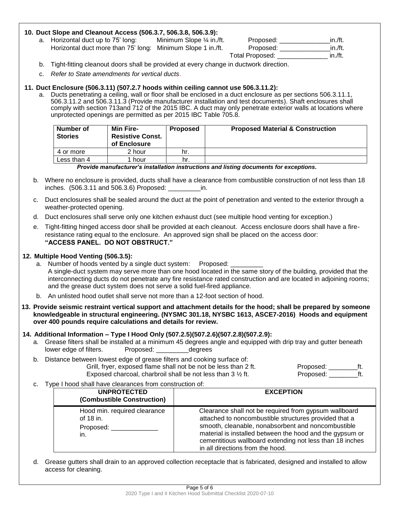### **10. Duct Slope and Cleanout Access (506.3.7, 506.3.8, 506.3.9):**

| a. Horizontal duct up to 75' long:                          | Minimum Slope $\frac{1}{4}$ in ft. | Proposed:              | in./ft. |
|-------------------------------------------------------------|------------------------------------|------------------------|---------|
| Horizontal duct more than 75' long: Minimum Slope 1 in./ft. |                                    | Proposed:              | in./ft. |
|                                                             |                                    | <b>Total Proposed:</b> | in./ft. |

- b. Tight-fitting cleanout doors shall be provided at every change in ductwork direction.
- c. *Refer to State amendments for vertical ducts*.

#### **11. Duct Enclosure (506.3.11) (507.2.7 hoods within ceiling cannot use 506.3.11.2):**

a. Ducts penetrating a ceiling, wall or floor shall be enclosed in a duct enclosure as per sections 506.3.11.1, 506.3.11.2 and 506.3.11.3 (Provide manufacturer installation and test documents). Shaft enclosures shall comply with section 713and 712 of the 2015 IBC. A duct may only penetrate exterior walls at locations where unprotected openings are permitted as per 2015 IBC Table 705.8.

| Number of<br><b>Stories</b> | Min Fire-<br><b>Resistive Const.</b><br>of Enclosure | Proposed | <b>Proposed Material &amp; Construction</b> |
|-----------------------------|------------------------------------------------------|----------|---------------------------------------------|
| 4 or more                   | 2 hour                                               | hr.      |                                             |
| Less than 4                 | hour                                                 | hr.      |                                             |

#### *Provide manufacturer's installation instructions and listing documents for exceptions.*

- b. Where no enclosure is provided, ducts shall have a clearance from combustible construction of not less than 18 inches. (506.3.11 and 506.3.6) Proposed: \_\_\_\_\_\_\_\_\_in.
- c. Duct enclosures shall be sealed around the duct at the point of penetration and vented to the exterior through a weather-protected opening.
- d. Duct enclosures shall serve only one kitchen exhaust duct (see multiple hood venting for exception.)
- e. Tight-fitting hinged access door shall be provided at each cleanout. Access enclosure doors shall have a fireresistance rating equal to the enclosure. An approved sign shall be placed on the access door: **"ACCESS PANEL. DO NOT OBSTRUCT."**

#### **12. Multiple Hood Venting (506.3.5):**

- a. Number of hoods vented by a single duct system: Proposed: A single-duct system may serve more than one hood located in the same story of the building, provided that the interconnecting ducts do not penetrate any fire resistance rated construction and are located in adjoining rooms; and the grease duct system does not serve a solid fuel-fired appliance.
- b. An unlisted hood outlet shall serve not more than a 12-foot section of hood.
- **13. Provide seismic restraint vertical support and attachment details for the hood; shall be prepared by someone knowledgeable in structural engineering. (NYSMC 301.18, NYSBC 1613, ASCE7-2016) Hoods and equipment over 400 pounds require calculations and details for review.**

#### **14. Additional Information – Type I Hood Only (507.2.5)(507.2.6)(507.2.8)(507.2.9):**

- a. Grease filters shall be installed at a minimum 45 degrees angle and equipped with drip tray and gutter beneath lower edge of filters. Proposed: by degrees
- b. Distance between lowest edge of grease filters and cooking surface of: Grill, fryer, exposed flame shall not be not be less than 2 ft. Proposed: \_\_\_\_\_\_\_\_\_ft. Exposed charcoal, charbroil shall be not less than 3 ½ ft. Proposed: \_\_\_\_\_\_\_\_ft.
- c. Type I hood shall have clearances from construction of:

| <b>UNPROTECTED</b><br>(Combustible Construction)              | <b>EXCEPTION</b>                                                                                                                                                                                                                                                                                                                 |
|---------------------------------------------------------------|----------------------------------------------------------------------------------------------------------------------------------------------------------------------------------------------------------------------------------------------------------------------------------------------------------------------------------|
| Hood min. required clearance<br>of 18 in.<br>Proposed:<br>in. | Clearance shall not be required from gypsum wallboard<br>attached to noncombustible structures provided that a<br>smooth, cleanable, nonabsorbent and noncombustible<br>material is installed between the hood and the gypsum or<br>cementitious wallboard extending not less than 18 inches<br>in all directions from the hood. |

d. Grease gutters shall drain to an approved collection receptacle that is fabricated, designed and installed to allow access for cleaning.